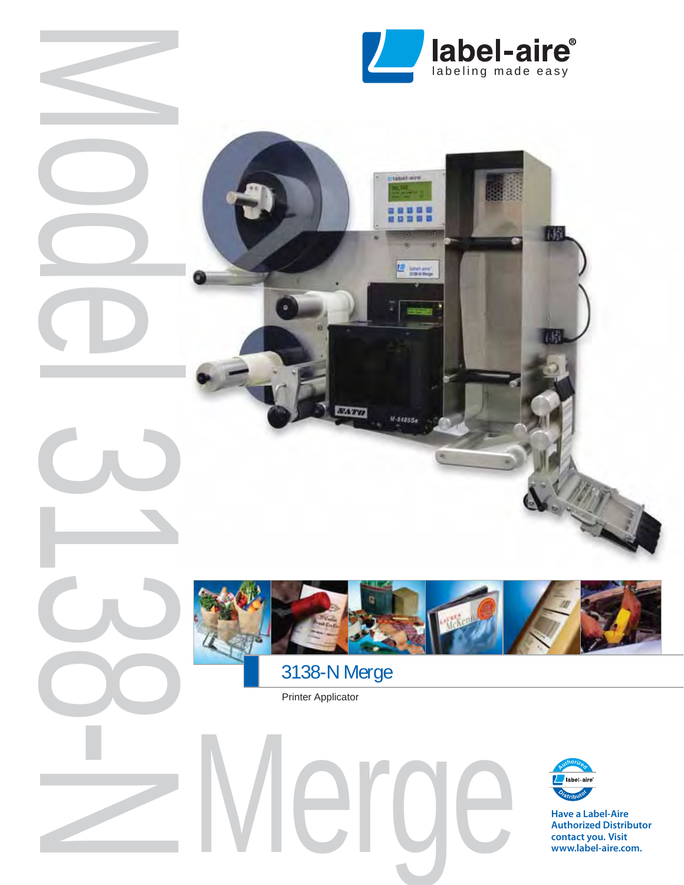

日日日 日日日日

 $M - 84855e$ 



**ATU** 

Printer Applicator

Model 3138-N



**Have a Label-Aire Authorized Distributor contact you. Visit www.label-aire.com.**